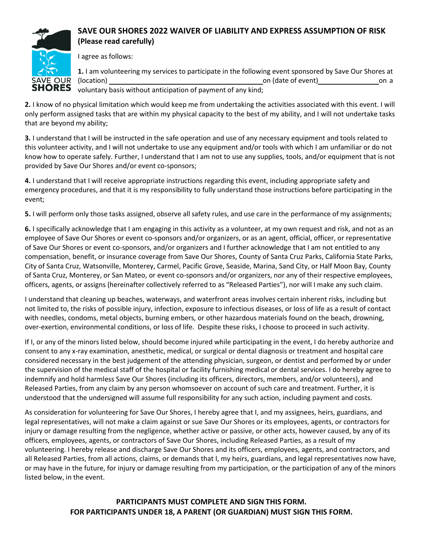

# **SAVE OUR SHORES 2022 WAIVER OF LIABILITY AND EXPRESS ASSUMPTION OF RISK (Please read carefully)**

I agree as follows:

**1.** I am volunteering my services to participate in the following event sponsored by Save Our Shores at (location) and contact on a contact of event) on a contact of event of event of  $\alpha$  on a contact of event of  $\alpha$  on a contact of event of  $\alpha$  on a contact of event of  $\alpha$  on a contact of event of  $\alpha$  on a contact of voluntary basis without anticipation of payment of any kind;

**2.** I know of no physical limitation which would keep me from undertaking the activities associated with this event. I will only perform assigned tasks that are within my physical capacity to the best of my ability, and I will not undertake tasks that are beyond my ability;

**3.** I understand that I will be instructed in the safe operation and use of any necessary equipment and tools related to this volunteer activity, and I will not undertake to use any equipment and/or tools with which I am unfamiliar or do not know how to operate safely. Further, I understand that I am not to use any supplies, tools, and/or equipment that is not provided by Save Our Shores and/or event co-sponsors;

**4.** I understand that I will receive appropriate instructions regarding this event, including appropriate safety and emergency procedures, and that it is my responsibility to fully understand those instructions before participating in the event;

**5.** I will perform only those tasks assigned, observe all safety rules, and use care in the performance of my assignments;

**6.** I specifically acknowledge that I am engaging in this activity as a volunteer, at my own request and risk, and not as an employee of Save Our Shores or event co-sponsors and/or organizers, or as an agent, official, officer, or representative of Save Our Shores or event co-sponsors, and/or organizers and I further acknowledge that I am not entitled to any compensation, benefit, or insurance coverage from Save Our Shores, County of Santa Cruz Parks, California State Parks, City of Santa Cruz, Watsonville, Monterey, Carmel, Pacific Grove, Seaside, Marina, Sand City, or Half Moon Bay, County of Santa Cruz, Monterey, or San Mateo, or event co-sponsors and/or organizers, nor any of their respective employees, officers, agents, or assigns (hereinafter collectively referred to as "Released Parties"), nor will I make any such claim.

I understand that cleaning up beaches, waterways, and waterfront areas involves certain inherent risks, including but not limited to, the risks of possible injury, infection, exposure to infectious diseases, or loss of life as a result of contact with needles, condoms, metal objects, burning embers, or other hazardous materials found on the beach, drowning, over-exertion, environmental conditions, or loss of life. Despite these risks, I choose to proceed in such activity.

If I, or any of the minors listed below, should become injured while participating in the event, I do hereby authorize and consent to any x-ray examination, anesthetic, medical, or surgical or dental diagnosis or treatment and hospital care considered necessary in the best judgement of the attending physician, surgeon, or dentist and performed by or under the supervision of the medical staff of the hospital or facility furnishing medical or dental services. I do hereby agree to indemnify and hold harmless Save Our Shores (including its officers, directors, members, and/or volunteers), and Released Parties, from any claim by any person whomsoever on account of such care and treatment. Further, it is understood that the undersigned will assume full responsibility for any such action, including payment and costs.

As consideration for volunteering for Save Our Shores, I hereby agree that I, and my assignees, heirs, guardians, and legal representatives, will not make a claim against or sue Save Our Shores or its employees, agents, or contractors for injury or damage resulting from the negligence, whether active or passive, or other acts, however caused, by any of its officers, employees, agents, or contractors of Save Our Shores, including Released Parties, as a result of my volunteering. I hereby release and discharge Save Our Shores and its officers, employees, agents, and contractors, and all Released Parties, from all actions, claims, or demands that I, my heirs, guardians, and legal representatives now have, or may have in the future, for injury or damage resulting from my participation, or the participation of any of the minors listed below, in the event.

> **PARTICIPANTS MUST COMPLETE AND SIGN THIS FORM. FOR PARTICIPANTS UNDER 18, A PARENT (OR GUARDIAN) MUST SIGN THIS FORM.**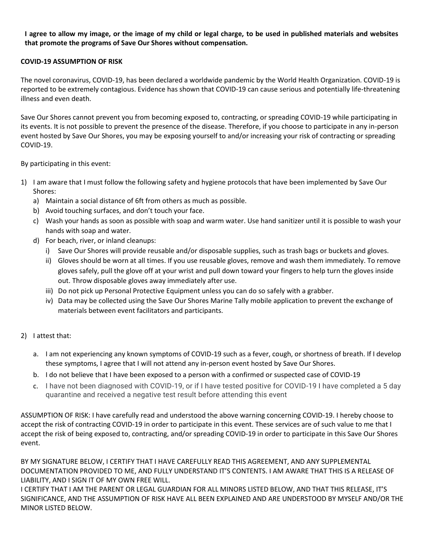### I agree to allow my image, or the image of my child or legal charge, to be used in published materials and websites **that promote the programs of Save Our Shores without compensation.**

#### **COVID-19 ASSUMPTION OF RISK**

The novel coronavirus, COVID-19, has been declared a worldwide pandemic by the World Health Organization. COVID-19 is reported to be extremely contagious. Evidence has shown that COVID-19 can cause serious and potentially life-threatening illness and even death.

Save Our Shores cannot prevent you from becoming exposed to, contracting, or spreading COVID-19 while participating in its events. It is not possible to prevent the presence of the disease. Therefore, if you choose to participate in any in-person event hosted by Save Our Shores, you may be exposing yourself to and/or increasing your risk of contracting or spreading COVID-19.

By participating in this event:

- 1) I am aware that I must follow the following safety and hygiene protocols that have been implemented by Save Our Shores:
	- a) Maintain a social distance of 6ft from others as much as possible.
	- b) Avoid touching surfaces, and don't touch your face.
	- c) Wash your hands as soon as possible with soap and warm water. Use hand sanitizer until it is possible to wash your hands with soap and water.
	- d) For beach, river, or inland cleanups:
		- i) Save Our Shores will provide reusable and/or disposable supplies, such as trash bags or buckets and gloves.
		- ii) Gloves should be worn at all times. If you use reusable gloves, remove and wash them immediately. To remove gloves safely, pull the glove off at your wrist and pull down toward your fingers to help turn the gloves inside out. Throw disposable gloves away immediately after use.
		- iii) Do not pick up Personal Protective Equipment unless you can do so safely with a grabber.
		- iv) Data may be collected using the Save Our Shores Marine Tally mobile application to prevent the exchange of materials between event facilitators and participants.
- 2) I attest that:
	- a. I am not experiencing any known symptoms of COVID-19 such as a fever, cough, or shortness of breath. If I develop these symptoms, I agree that I will not attend any in-person event hosted by Save Our Shores.
	- b. I do not believe that I have been exposed to a person with a confirmed or suspected case of COVID-19
	- c. I have not been diagnosed with COVID-19, or if I have tested positive for COVID-19 I have completed a 5 day quarantine and received a negative test result before attending this event

ASSUMPTION OF RISK: I have carefully read and understood the above warning concerning COVID-19. I hereby choose to accept the risk of contracting COVID-19 in order to participate in this event. These services are of such value to me that I accept the risk of being exposed to, contracting, and/or spreading COVID-19 in order to participate in this Save Our Shores event.

BY MY SIGNATURE BELOW, I CERTIFY THAT I HAVE CAREFULLY READ THIS AGREEMENT, AND ANY SUPPLEMENTAL DOCUMENTATION PROVIDED TO ME, AND FULLY UNDERSTAND IT'S CONTENTS. I AM AWARE THAT THIS IS A RELEASE OF LIABILITY, AND I SIGN IT OF MY OWN FREE WILL.

I CERTIFY THAT I AM THE PARENT OR LEGAL GUARDIAN FOR ALL MINORS LISTED BELOW, AND THAT THIS RELEASE, IT'S SIGNIFICANCE, AND THE ASSUMPTION OF RISK HAVE ALL BEEN EXPLAINED AND ARE UNDERSTOOD BY MYSELF AND/OR THE MINOR LISTED BELOW.